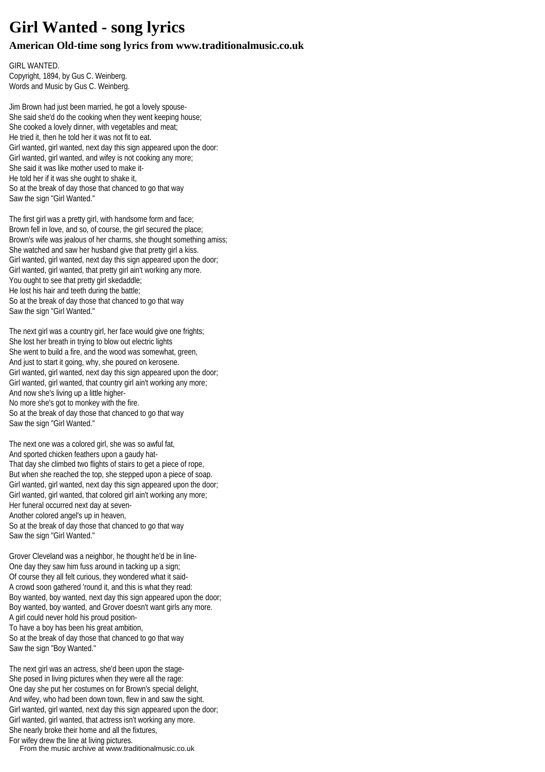## **Girl Wanted - song lyrics**

## **American Old-time song lyrics from www.traditionalmusic.co.uk**

GIRL WANTED. Copyright, 1894, by Gus C. Weinberg. Words and Music by Gus C. Weinberg.

Jim Brown had just been married, he got a lovely spouse-She said she'd do the cooking when they went keeping house; She cooked a lovely dinner, with vegetables and meat; He tried it, then he told her it was not fit to eat. Girl wanted, girl wanted, next day this sign appeared upon the door: Girl wanted, girl wanted, and wifey is not cooking any more; She said it was like mother used to make it-He told her if it was she ought to shake it, So at the break of day those that chanced to go that way Saw the sign "Girl Wanted."

The first girl was a pretty girl, with handsome form and face; Brown fell in love, and so, of course, the girl secured the place; Brown's wife was jealous of her charms, she thought something amiss: She watched and saw her husband give that pretty girl a kiss. Girl wanted, girl wanted, next day this sign appeared upon the door; Girl wanted, girl wanted, that pretty girl ain't working any more. You ought to see that pretty girl skedaddle; He lost his hair and teeth during the battle; So at the break of day those that chanced to go that way Saw the sign "Girl Wanted."

The next girl was a country girl, her face would give one frights; She lost her breath in trying to blow out electric lights She went to build a fire, and the wood was somewhat, green, And just to start it going, why, she poured on kerosene. Girl wanted, girl wanted, next day this sign appeared upon the door; Girl wanted, girl wanted, that country girl ain't working any more; And now she's living up a little higher-No more she's got to monkey with the fire. So at the break of day those that chanced to go that way Saw the sign "Girl Wanted."

The next one was a colored girl, she was so awful fat, And sported chicken feathers upon a gaudy hat-That day she climbed two flights of stairs to get a piece of rope, But when she reached the top, she stepped upon a piece of soap. Girl wanted, girl wanted, next day this sign appeared upon the door; Girl wanted, girl wanted, that colored girl ain't working any more; Her funeral occurred next day at seven-Another colored angel's up in heaven, So at the break of day those that chanced to go that way Saw the sign "Girl Wanted."

Grover Cleveland was a neighbor, he thought he'd be in line-One day they saw him fuss around in tacking up a sign; Of course they all felt curious, they wondered what it said-A crowd soon gathered 'round it, and this is what they read: Boy wanted, boy wanted, next day this sign appeared upon the door; Boy wanted, boy wanted, and Grover doesn't want girls any more. A girl could never hold his proud position-To have a boy has been his great ambition, So at the break of day those that chanced to go that way Saw the sign "Boy Wanted."

The next girl was an actress, she'd been upon the stage-She posed in living pictures when they were all the rage: One day she put her costumes on for Brown's special delight, And wifey, who had been down town, flew in and saw the sight. Girl wanted, girl wanted, next day this sign appeared upon the door; Girl wanted, girl wanted, that actress isn't working any more. She nearly broke their home and all the fixtures, For wifey drew the line at living pictures.

From the music archive at www.traditionalmusic.co.uk